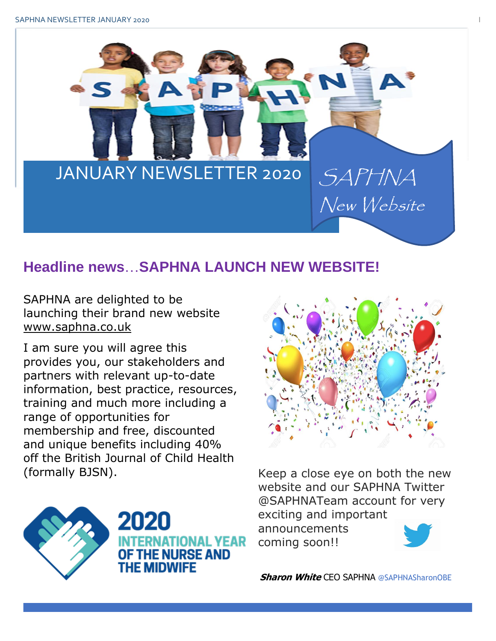

# **Headline news**…**SAPHNA LAUNCH NEW WEBSITE!**

SAPHNA are delighted to be launching their brand new website [www.saphna.co.uk](http://www.saphna.co.uk/)

I am sure you will agree this provides you, our stakeholders and partners with relevant up-to-date information, best practice, resources, training and much more including a range of opportunities for membership and free, discounted and unique benefits including 40% off the British Journal of Child Health (formally BJSN). Keep a close eye on both the new



website and our SAPHNA Twitter @SAPHNATeam account for very exciting and important announcements





2020 IATIONAL YEAR THE NURSE AND HF MIDWIFF

 **Sharon White** CEO SAPHNA @SAPHNASharonOBE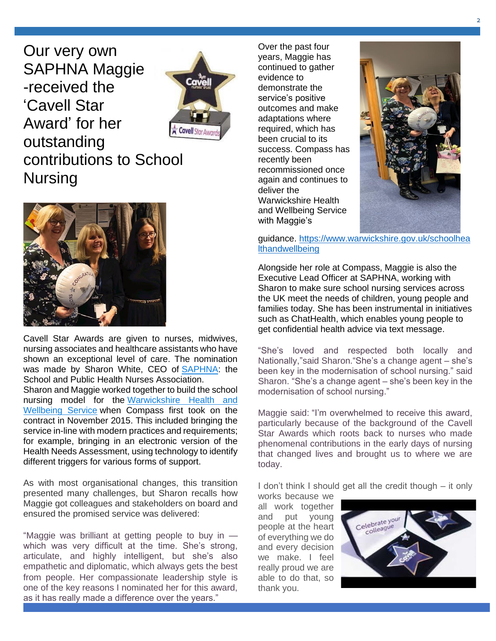Our very own SAPHNA Maggie -received the 'Cavell Star Award' for her outstanding Nursing



# contributions to School



Cavell Star Awards are given to nurses, midwives, nursing associates and healthcare assistants who have shown an exceptional level of care. The nomination was made by Sharon White, CEO of [SAPHNA:](http://www.saphna.co/) the School and Public Health Nurses Association. Sharon and Maggie worked together to build the school nursing model for the [Warwickshire Health and](https://www.compass-uk.org/services/warwickshire-school-health-wellbeing-service/)  [Wellbeing Service](https://www.compass-uk.org/services/warwickshire-school-health-wellbeing-service/) when Compass first took on the contract in November 2015. This included bringing the service in-line with modern practices and requirements; for example, bringing in an electronic version of the Health Needs Assessment, using technology to identify different triggers for various forms of support.

As with most organisational changes, this transition presented many challenges, but Sharon recalls how Maggie got colleagues and stakeholders on board and ensured the promised service was delivered:

"Maggie was brilliant at getting people to buy in which was very difficult at the time. She's strong, articulate, and highly intelligent, but she's also empathetic and diplomatic, which always gets the best from people. Her compassionate leadership style is one of the key reasons I nominated her for this award, as it has really made a difference over the years."

Over the past four years, Maggie has continued to gather evidence to demonstrate the service's positive outcomes and make adaptations where required, which has been crucial to its success. Compass has recently been recommissioned once again and continues to deliver the Warwickshire Health and Wellbeing Service with Maggie's



guidance. [https://www.warwickshire.gov.uk/schoolhea](https://www.warwickshire.gov.uk/schoolhealthandwellbeing) [lthandwellbeing](https://www.warwickshire.gov.uk/schoolhealthandwellbeing)

Alongside her role at Compass, Maggie is also the Executive Lead Officer at SAPHNA, working with Sharon to make sure school nursing services across the UK meet the needs of children, young people and families today. She has been instrumental in initiatives such as ChatHealth, which enables young people to get confidential health advice via text message.

"She's loved and respected both locally and Nationally,"said Sharon."She's a change agent – she's been key in the modernisation of school nursing." said Sharon. "She's a change agent – she's been key in the modernisation of school nursing."

Maggie said: "I'm overwhelmed to receive this award, particularly because of the background of the Cavell Star Awards which roots back to nurses who made phenomenal contributions in the early days of nursing that changed lives and brought us to where we are today.

I don't think I should get all the credit though – it only

works because we all work together and put young people at the heart of everything we do and every decision we make. I feel really proud we are able to do that, so thank you.

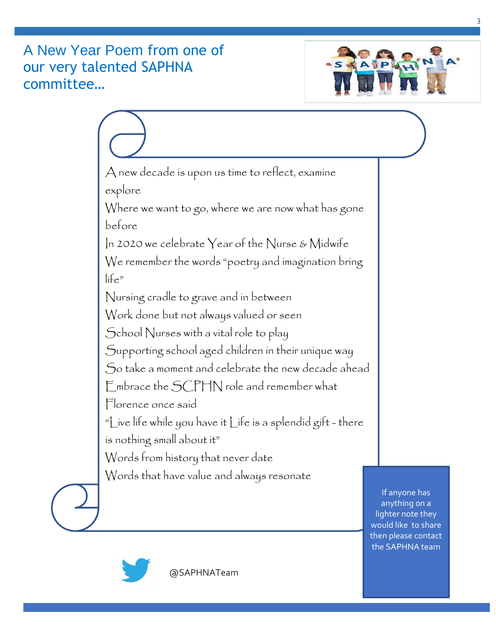## A New Year Poem from one of our very talented SAPHNA committee…







@SAPHNATeam

the SAPHNA team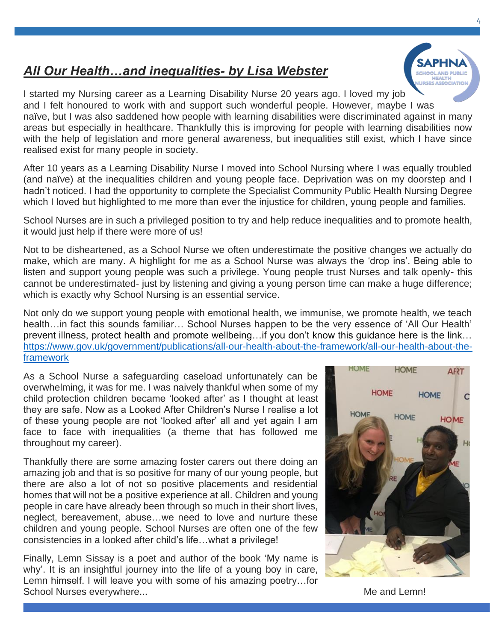## *All Our Health…and inequalities- by Lisa Webster*

I started my Nursing career as a Learning Disability Nurse 20 years ago. I loved my job and I felt honoured to work with and support such wonderful people. However, maybe I was naïve, but I was also saddened how people with learning disabilities were discriminated against in many areas but especially in healthcare. Thankfully this is improving for people with learning disabilities now with the help of legislation and more general awareness, but inequalities still exist, which I have since realised exist for many people in society.

After 10 years as a Learning Disability Nurse I moved into School Nursing where I was equally troubled (and naïve) at the inequalities children and young people face. Deprivation was on my doorstep and I hadn't noticed. I had the opportunity to complete the Specialist Community Public Health Nursing Degree which I loved but highlighted to me more than ever the injustice for children, young people and families.

School Nurses are in such a privileged position to try and help reduce inequalities and to promote health, it would just help if there were more of us!

Not to be disheartened, as a School Nurse we often underestimate the positive changes we actually do make, which are many. A highlight for me as a School Nurse was always the 'drop ins'. Being able to listen and support young people was such a privilege. Young people trust Nurses and talk openly- this cannot be underestimated- just by listening and giving a young person time can make a huge difference; which is exactly why School Nursing is an essential service.

Not only do we support young people with emotional health, we immunise, we promote health, we teach health…in fact this sounds familiar… School Nurses happen to be the very essence of 'All Our Health' prevent illness, protect health and promote wellbeing…if you don't know this guidance here is the link… [https://www.gov.uk/government/publications/all-our-health-about-the-framework/all-our-health-about-the](https://www.gov.uk/government/publications/all-our-health-about-the-framework/all-our-health-about-the-framework)[framework](https://www.gov.uk/government/publications/all-our-health-about-the-framework/all-our-health-about-the-framework)

As a School Nurse a safeguarding caseload unfortunately can be overwhelming, it was for me. I was naively thankful when some of my child protection children became 'looked after' as I thought at least they are safe. Now as a Looked After Children's Nurse I realise a lot of these young people are not 'looked after' all and yet again I am face to face with inequalities (a theme that has followed me throughout my career).

Thankfully there are some amazing foster carers out there doing an amazing job and that is so positive for many of our young people, but there are also a lot of not so positive placements and residential homes that will not be a positive experience at all. Children and young people in care have already been through so much in their short lives, neglect, bereavement, abuse…we need to love and nurture these children and young people. School Nurses are often one of the few consistencies in a looked after child's life…what a privilege!

Finally, Lemn Sissay is a poet and author of the book 'My name is why'. It is an insightful journey into the life of a young boy in care, Lemn himself. I will leave you with some of his amazing poetry…for School Nurses everywhere... School Nurses everywhere...



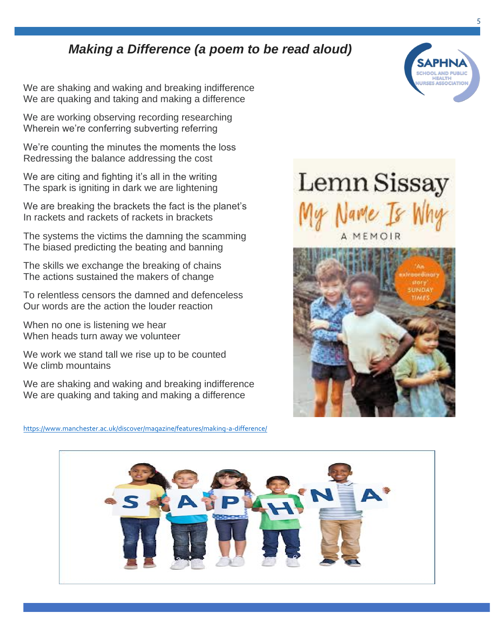## *Making a Difference (a poem to be read aloud)*

We are shaking and waking and breaking indifference We are quaking and taking and making a difference

We are working observing recording researching Wherein we're conferring subverting referring

We're counting the minutes the moments the loss Redressing the balance addressing the cost

We are citing and fighting it's all in the writing The spark is igniting in dark we are lightening

We are breaking the brackets the fact is the planet's In rackets and rackets of rackets in brackets

The systems the victims the damning the scamming The biased predicting the beating and banning

The skills we exchange the breaking of chains The actions sustained the makers of change

To relentless censors the damned and defenceless Our words are the action the louder reaction

When no one is listening we hear When heads turn away we volunteer

We work we stand tall we rise up to be counted We climb mountains

We are shaking and waking and breaking indifference We are quaking and taking and making a difference

<https://www.manchester.ac.uk/discover/magazine/features/making-a-difference/>



Lemn Sissay

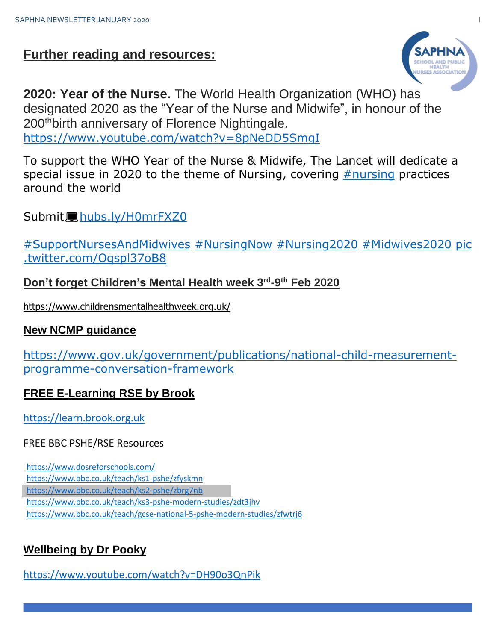## **Further reading and resources:**



**2020: Year of the Nurse.** The World Health Organization (WHO) has designated 2020 as the "Year of the Nurse and Midwife", in honour of the 200<sup>th</sup> birth anniversary of Florence Nightingale. <https://www.youtube.com/watch?v=8pNeDD5SmgI>

To support the WHO Year of the Nurse & Midwife, The Lancet will dedicate a special issue in 2020 to the theme of Nursing, covering  $#$ nursing practices around the world

Submit $\blacksquare$ [hubs.ly/H0mrFXZ0](https://nam10.safelinks.protection.outlook.com/?url=https%3A%2F%2Ft.co%2FycwPJfxAL3&data=02%7C01%7C%7C1ccb4379d68d403a56eb08d792c94f2d%7C84df9e7fe9f640afb435aaaaaaaaaaaa%7C1%7C0%7C637139265620735419&sdata=SYqJM82nvpIUDsjqNcuL9AJ2Fde6j3bAt02OidUkTzk%3D&reserved=0)

[#SupportNursesAndMidwives](https://nam10.safelinks.protection.outlook.com/?url=https%3A%2F%2Ftwitter.com%2Fsearch%3Fq%3D%2523SupportNursesAndMidwives%26src%3Dhash&data=02%7C01%7C%7C1ccb4379d68d403a56eb08d792c94f2d%7C84df9e7fe9f640afb435aaaaaaaaaaaa%7C1%7C0%7C637139265620745429&sdata=FIdvpNjzxEz0Bv0VVVFmXc%2BkkuTCaVDlLirBWrLys3s%3D&reserved=0) [#NursingNow](https://nam10.safelinks.protection.outlook.com/?url=https%3A%2F%2Ftwitter.com%2Fsearch%3Fq%3D%2523NursingNow%26src%3Dhash&data=02%7C01%7C%7C1ccb4379d68d403a56eb08d792c94f2d%7C84df9e7fe9f640afb435aaaaaaaaaaaa%7C1%7C0%7C637139265620745429&sdata=fM06KgvSJTJh9qKx17z7gKQiJt32iOC7og70dg85ZK0%3D&reserved=0) [#Nursing2020](https://nam10.safelinks.protection.outlook.com/?url=https%3A%2F%2Ftwitter.com%2Fsearch%3Fq%3D%2523Nursing2020%26src%3Dhash&data=02%7C01%7C%7C1ccb4379d68d403a56eb08d792c94f2d%7C84df9e7fe9f640afb435aaaaaaaaaaaa%7C1%7C0%7C637139265620755433&sdata=JmXsZczo2Z2PK0uy9%2Fnzxclo1Ksp3ZxU6FMerjVDIiA%3D&reserved=0) [#Midwives2020](https://nam10.safelinks.protection.outlook.com/?url=https%3A%2F%2Ftwitter.com%2Fsearch%3Fq%3D%2523Midwives2020%26src%3Dhash&data=02%7C01%7C%7C1ccb4379d68d403a56eb08d792c94f2d%7C84df9e7fe9f640afb435aaaaaaaaaaaa%7C1%7C0%7C637139265620755433&sdata=yfvdx8lrF3cCx6czY40HiGxN%2FNJobs07eOFvurdwfyA%3D&reserved=0) [pic](https://nam10.safelinks.protection.outlook.com/?url=https%3A%2F%2Ft.co%2FOqspl37oB8&data=02%7C01%7C%7C1ccb4379d68d403a56eb08d792c94f2d%7C84df9e7fe9f640afb435aaaaaaaaaaaa%7C1%7C0%7C637139265620765443&sdata=JaXPDUaIbAfPdmw1VrxE%2FeFHcXw4giE7CLhrJvti5EA%3D&reserved=0) [.twitter.com/Oqspl37oB8](https://nam10.safelinks.protection.outlook.com/?url=https%3A%2F%2Ft.co%2FOqspl37oB8&data=02%7C01%7C%7C1ccb4379d68d403a56eb08d792c94f2d%7C84df9e7fe9f640afb435aaaaaaaaaaaa%7C1%7C0%7C637139265620765443&sdata=JaXPDUaIbAfPdmw1VrxE%2FeFHcXw4giE7CLhrJvti5EA%3D&reserved=0)

#### **Don't forget Children's Mental Health week 3rd -9 th Feb 2020**

<https://www.childrensmentalhealthweek.org.uk/>

#### **New NCMP guidance**

[https://www.gov.uk/government/publications/national-child-measurement](https://www.gov.uk/government/publications/national-child-measurement-programme-conversation-framework)[programme-conversation-framework](https://www.gov.uk/government/publications/national-child-measurement-programme-conversation-framework)

## **FREE E-Learning RSE by Brook**

[https://learn.brook.org.uk](https://learn.brook.org.uk/)

#### FREE BBC PSHE/RSE Resources

https://www.dosreforschools.com/ https://www.bbc.co.uk/teach/ks1-pshe/zfyskmn https://www.bbc.co.uk/teach/ks2-pshe/zbrg7nb https://www.bbc.co.uk/teach/ks3-pshe-modern-studies/zdt3jhv https://www.bbc.co.uk/teach/gcse-national-5-pshe-modern-studies/zfwtrj6

## **Wellbeing by Dr Pooky**

<https://www.youtube.com/watch?v=DH90o3QnPik>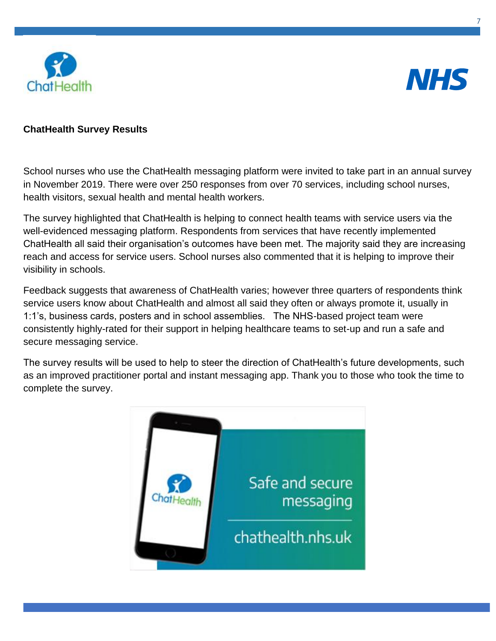



#### **ChatHealth Survey Results**

School nurses who use the ChatHealth messaging platform were invited to take part in an annual survey in November 2019. There were over 250 responses from over 70 services, including school nurses, health visitors, sexual health and mental health workers.

The survey highlighted that ChatHealth is helping to connect health teams with service users via the well-evidenced messaging platform. Respondents from services that have recently implemented ChatHealth all said their organisation's outcomes have been met. The majority said they are increasing reach and access for service users. School nurses also commented that it is helping to improve their visibility in schools.

Feedback suggests that awareness of ChatHealth varies; however three quarters of respondents think service users know about ChatHealth and almost all said they often or always promote it, usually in 1:1's, business cards, posters and in school assemblies. The NHS-based project team were consistently highly-rated for their support in helping healthcare teams to set-up and run a safe and secure messaging service.

The survey results will be used to help to steer the direction of ChatHealth's future developments, such as an improved practitioner portal and instant messaging app. Thank you to those who took the time to complete the survey.